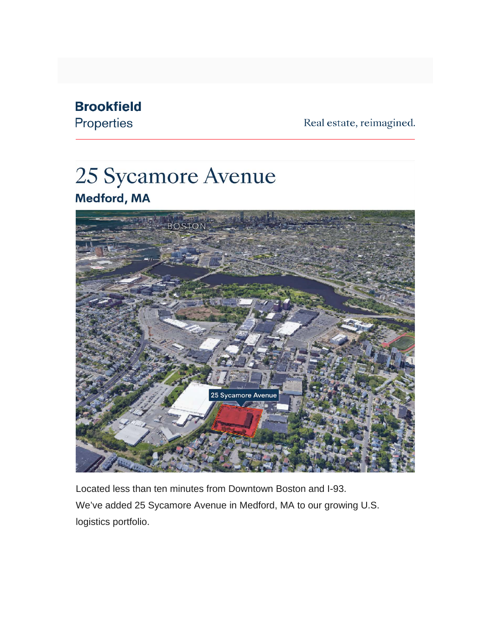## **Brookfield**

Properties

Real estate, reimagined.

## 25 Sycamore Avenue Medford, MA



Located less than ten minutes from Downtown Boston and I-93. We've added 25 Sycamore Avenue in Medford, MA to our growing U.S. logistics portfolio.